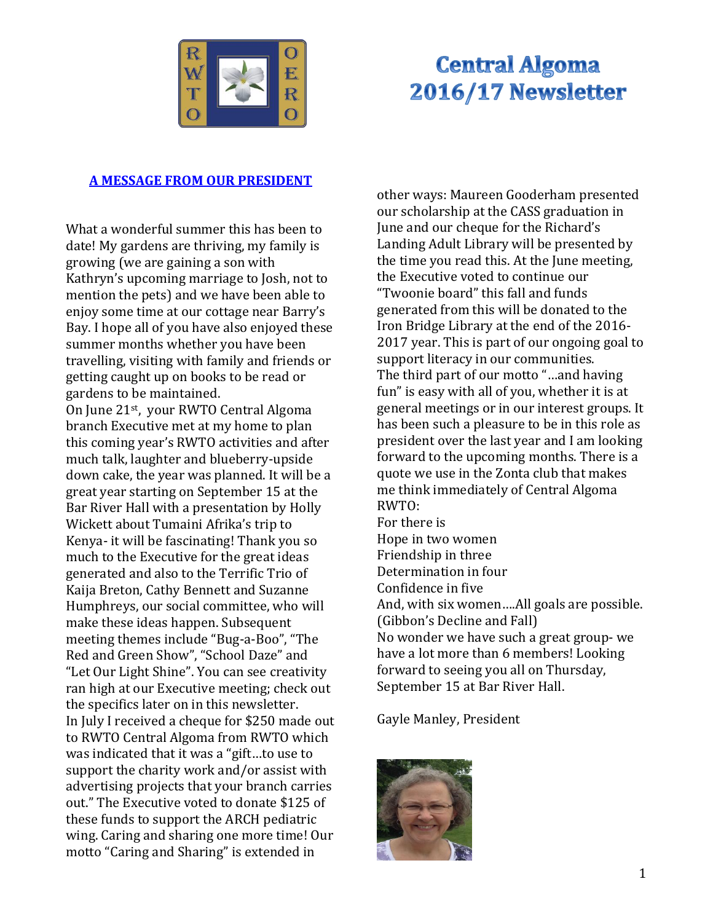

# **Central Algoma** 2016/17 Newsletter

#### **A MESSAGE FROM OUR PRESIDENT**

What a wonderful summer this has been to date! My gardens are thriving, my family is growing (we are gaining a son with Kathryn's upcoming marriage to Josh, not to mention the pets) and we have been able to enjoy some time at our cottage near Barry's Bay. I hope all of you have also enjoyed these summer months whether you have been travelling, visiting with family and friends or getting caught up on books to be read or gardens to be maintained.

On June 21<sup>st</sup>, your RWTO Central Algoma branch Executive met at my home to plan this coming year's RWTO activities and after much talk, laughter and blueberry-upside down cake, the year was planned. It will be a great year starting on September 15 at the Bar River Hall with a presentation by Holly Wickett about Tumaini Afrika's trip to Kenya- it will be fascinating! Thank you so much to the Executive for the great ideas generated and also to the Terrific Trio of Kaija Breton, Cathy Bennett and Suzanne Humphreys, our social committee, who will make these ideas happen. Subsequent meeting themes include "Bug-a-Boo", "The Red and Green Show", "School Daze" and "Let Our Light Shine". You can see creativity ran high at our Executive meeting; check out the specifics later on in this newsletter. In July I received a cheque for \$250 made out to RWTO Central Algoma from RWTO which was indicated that it was a "gift…to use to support the charity work and/or assist with advertising projects that your branch carries out." The Executive voted to donate \$125 of these funds to support the ARCH pediatric wing. Caring and sharing one more time! Our motto "Caring and Sharing" is extended in

other ways: Maureen Gooderham presented our scholarship at the CASS graduation in June and our cheque for the Richard's Landing Adult Library will be presented by the time you read this. At the June meeting, the Executive voted to continue our "Twoonie board" this fall and funds generated from this will be donated to the Iron Bridge Library at the end of the 2016- 2017 year. This is part of our ongoing goal to support literacy in our communities. The third part of our motto "…and having fun" is easy with all of you, whether it is at general meetings or in our interest groups. It has been such a pleasure to be in this role as president over the last year and I am looking forward to the upcoming months. There is a quote we use in the Zonta club that makes me think immediately of Central Algoma RWTO: For there is Hope in two women Friendship in three Determination in four Confidence in five And, with six women….All goals are possible. (Gibbon's Decline and Fall)

No wonder we have such a great group- we have a lot more than 6 members! Looking forward to seeing you all on Thursday, September 15 at Bar River Hall.

Gayle Manley, President

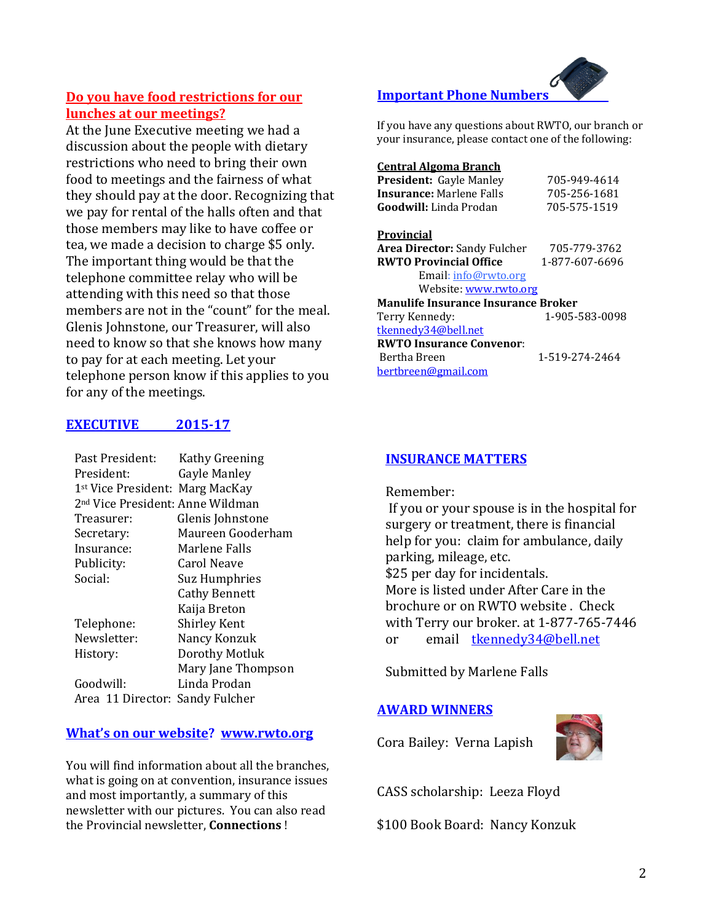#### **Do you have food restrictions for our lunches at our meetings?**

At the June Executive meeting we had a discussion about the people with dietary restrictions who need to bring their own food to meetings and the fairness of what they should pay at the door. Recognizing that we pay for rental of the halls often and that those members may like to have coffee or tea, we made a decision to charge \$5 only. The important thing would be that the telephone committee relay who will be attending with this need so that those members are not in the "count" for the meal. Glenis Johnstone, our Treasurer, will also need to know so that she knows how many to pay for at each meeting. Let your telephone person know if this applies to you for any of the meetings.

#### **EXECUTIVE 2015-17**

| Past President:                              | Kathy Greening       |
|----------------------------------------------|----------------------|
| President:                                   | Gayle Manley         |
| 1 <sup>st</sup> Vice President: Marg MacKay  |                      |
| 2 <sup>nd</sup> Vice President: Anne Wildman |                      |
| Treasurer:                                   | Glenis Johnstone     |
| Secretary:                                   | Maureen Gooderham    |
| Insurance:                                   | Marlene Falls        |
| Publicity:                                   | <b>Carol Neave</b>   |
| Social:                                      | <b>Suz Humphries</b> |
|                                              | <b>Cathy Bennett</b> |
|                                              | Kaija Breton         |
| Telephone:                                   | <b>Shirley Kent</b>  |
| Newsletter:                                  | Nancy Konzuk         |
| History:                                     | Dorothy Motluk       |
|                                              | Mary Jane Thompson   |
| Goodwill:                                    | Linda Prodan         |
| Area 11 Director: Sandy Fulcher              |                      |

#### **What's on our website? [www.rwto.org](http://www.rwto.org/)**

You will find information about all the branches, what is going on at convention, insurance issues and most importantly, a summary of this newsletter with our pictures. You can also read the Provincial newsletter, **Connections** !

### **Important Phone Numbers**

If you have any questions about RWTO, our branch or your insurance, please contact one of the following:

#### **Central Algoma Branch**

| President: Gayle Manley                    | 705-949-4614   |
|--------------------------------------------|----------------|
| <b>Insurance:</b> Marlene Falls            | 705-256-1681   |
| <b>Goodwill:</b> Linda Prodan              | 705-575-1519   |
| Provincial                                 |                |
| <b>Area Director:</b> Sandy Fulcher        | 705-779-3762   |
| <b>RWTO Provincial Office</b>              | 1-877-607-6696 |
| Email: info@rwto.org                       |                |
| Website: <u>www.rwto.org</u>               |                |
| <b>Manulife Insurance Insurance Broker</b> |                |
| Terry Kennedy:                             | 1-905-583-0098 |
| tkennedy34@bell.net                        |                |
| <b>RWTO Insurance Convenor:</b>            |                |
| Bertha Breen                               | 1-519-274-2464 |
| bertbreen@gmail.com                        |                |

#### **INSURANCE MATTERS**

Remember:

If you or your spouse is in the hospital for surgery or treatment, there is financial help for you: claim for ambulance, daily parking, mileage, etc. \$25 per day for incidentals. More is listed under After Care in the brochure or on RWTO website . Check with Terry our broker. at 1-877-765-7446 or email [tkennedy34@bell.net](mailto:tkennedy34@bell.net)

Submitted by Marlene Falls

#### **AWARD WINNERS**

Cora Bailey: Verna Lapish



CASS scholarship: Leeza Floyd

\$100 Book Board: Nancy Konzuk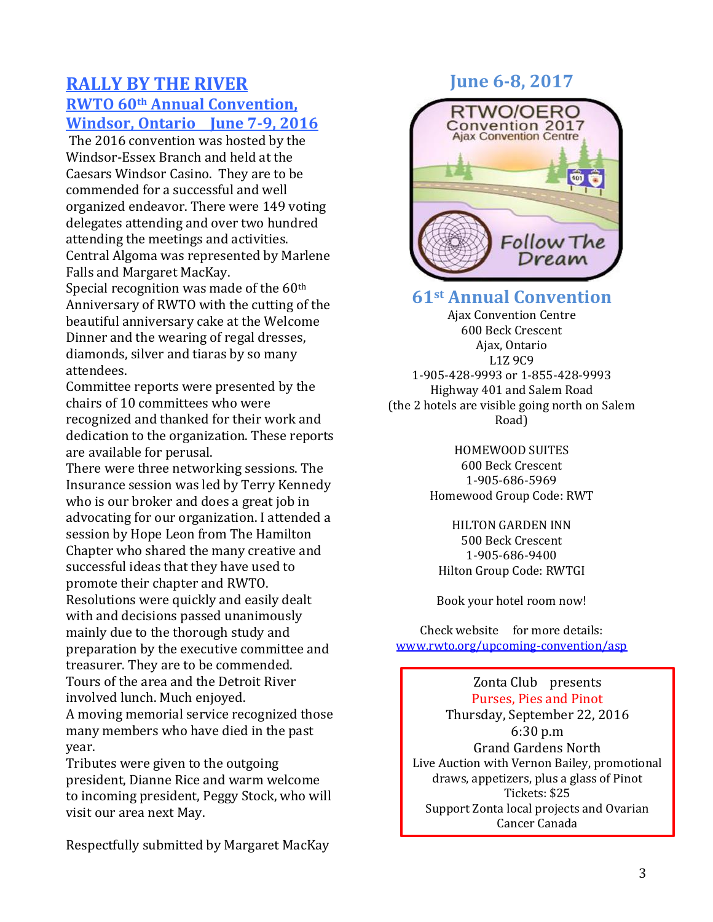# **RALLY BY THE RIVER RWTO 60th Annual Convention, Windsor, Ontario June 7-9, 2016**

The 2016 convention was hosted by the Windsor-Essex Branch and held at the Caesars Windsor Casino. They are to be commended for a successful and well organized endeavor. There were 149 voting delegates attending and over two hundred attending the meetings and activities. Central Algoma was represented by Marlene Falls and Margaret MacKay.

Special recognition was made of the 60<sup>th</sup> Anniversary of RWTO with the cutting of the beautiful anniversary cake at the Welcome Dinner and the wearing of regal dresses, diamonds, silver and tiaras by so many attendees.

Committee reports were presented by the chairs of 10 committees who were recognized and thanked for their work and dedication to the organization. These reports are available for perusal.

There were three networking sessions. The Insurance session was led by Terry Kennedy who is our broker and does a great job in advocating for our organization. I attended a session by Hope Leon from The Hamilton Chapter who shared the many creative and successful ideas that they have used to promote their chapter and RWTO. Resolutions were quickly and easily dealt with and decisions passed unanimously mainly due to the thorough study and preparation by the executive committee and treasurer. They are to be commended. Tours of the area and the Detroit River involved lunch. Much enjoyed. A moving memorial service recognized those many members who have died in the past year.

Tributes were given to the outgoing president, Dianne Rice and warm welcome to incoming president, Peggy Stock, who will visit our area next May.

Respectfully submitted by Margaret MacKay

# **June 6-8, 2017**



# **61st Annual Convention**

Ajax Convention Centre 600 Beck Crescent Ajax, Ontario L1Z 9C9 1-905-428-9993 or 1-855-428-9993 Highway 401 and Salem Road (the 2 hotels are visible going north on Salem Road)

> HOMEWOOD SUITES 600 Beck Crescent 1-905-686-5969 Homewood Group Code: RWT

HILTON GARDEN INN 500 Beck Crescent 1-905-686-9400 Hilton Group Code: RWTGI

Book your hotel room now!

Check website for more details: [www.rwto.org/upcoming-convention/asp](http://www.rwto.org/upcoming-convention/asp)

Zonta Club presents Purses, Pies and Pinot Thursday, September 22, 2016 6:30 p.m Grand Gardens North Live Auction with Vernon Bailey, promotional draws, appetizers, plus a glass of Pinot Tickets: \$25 Support Zonta local projects and Ovarian Cancer Canada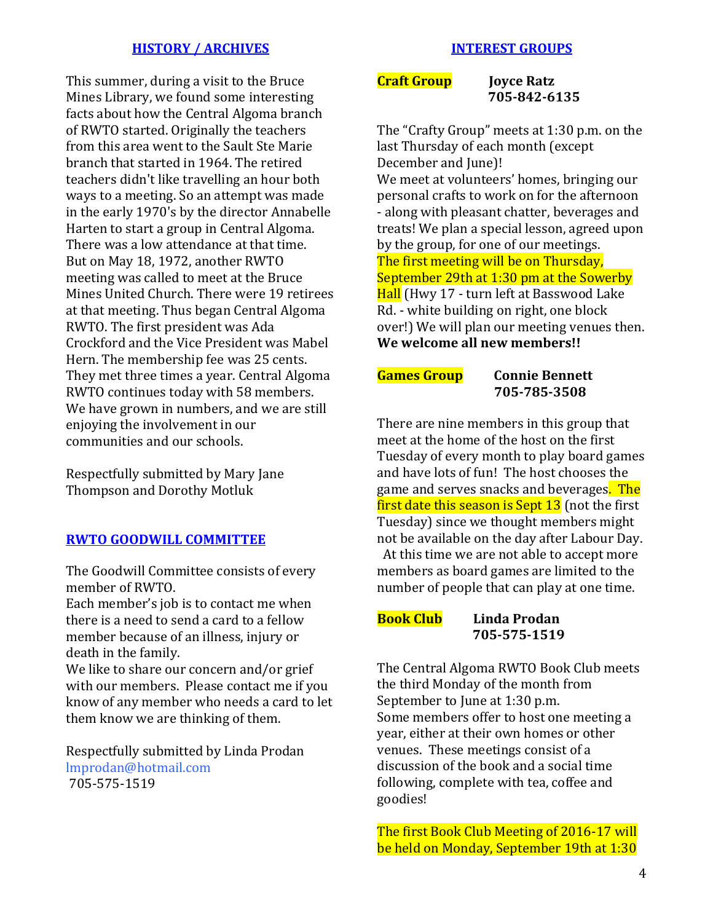#### **HISTORY / ARCHIVES**

This summer, during a visit to the Bruce Mines Library, we found some interesting facts about how the Central Algoma branch of RWTO started. Originally the teachers from this area went to the Sault Ste Marie branch that started in 1964. The retired teachers didn't like travelling an hour both ways to a meeting. So an attempt was made in the early 1970's by the director Annabelle Harten to start a group in Central Algoma. There was a low attendance at that time. But on May 18, 1972, another RWTO meeting was called to meet at the Bruce Mines United Church. There were 19 retirees at that meeting. Thus began Central Algoma RWTO. The first president was Ada Crockford and the Vice President was Mabel Hern. The membership fee was 25 cents. They met three times a year. Central Algoma RWTO continues today with 58 members. We have grown in numbers, and we are still enjoying the involvement in our communities and our schools.

Respectfully submitted by Mary Jane Thompson and Dorothy Motluk

#### **RWTO GOODWILL COMMITTEE**

The Goodwill Committee consists of every member of RWTO.

Each member's job is to contact me when there is a need to send a card to a fellow member because of an illness, injury or death in the family.

We like to share our concern and/or grief with our members. Please contact me if you know of any member who needs a card to let them know we are thinking of them.

Respectfully submitted by Linda Prodan lmprodan@hotmail.com 705-575-1519

**Craft Group** Joyce Ratz

 **705-842-6135**

The "Crafty Group" meets at 1:30 p.m. on the last Thursday of each month (except December and June)! We meet at volunteers' homes, bringing our personal crafts to work on for the afternoon - along with pleasant chatter, beverages and treats! We plan a special lesson, agreed upon by the group, for one of our meetings. The first meeting will be on Thursday, September 29th at 1:30 pm at the Sowerby Hall (Hwy 17 - turn left at Basswood Lake Rd. - white building on right, one block over!) We will plan our meeting venues then. **We welcome all new members!!**

#### **Games Group Connie Bennett 705-785-3508**

There are nine members in this group that meet at the home of the host on the first Tuesday of every month to play board games and have lots of fun! The host chooses the game and serves snacks and beverages. The first date this season is Sept 13 (not the first Tuesday) since we thought members might not be available on the day after Labour Day.

At this time we are not able to accept more members as board games are limited to the number of people that can play at one time.

#### **Book Club Linda Prodan 705-575-1519**

The Central Algoma RWTO Book Club meets the third Monday of the month from September to June at 1:30 p.m. Some members offer to host one meeting a year, either at their own homes or other venues. These meetings consist of a discussion of the book and a social time following, complete with tea, coffee and goodies!

The first Book Club Meeting of 2016-17 will be held on Monday, September 19th at 1:30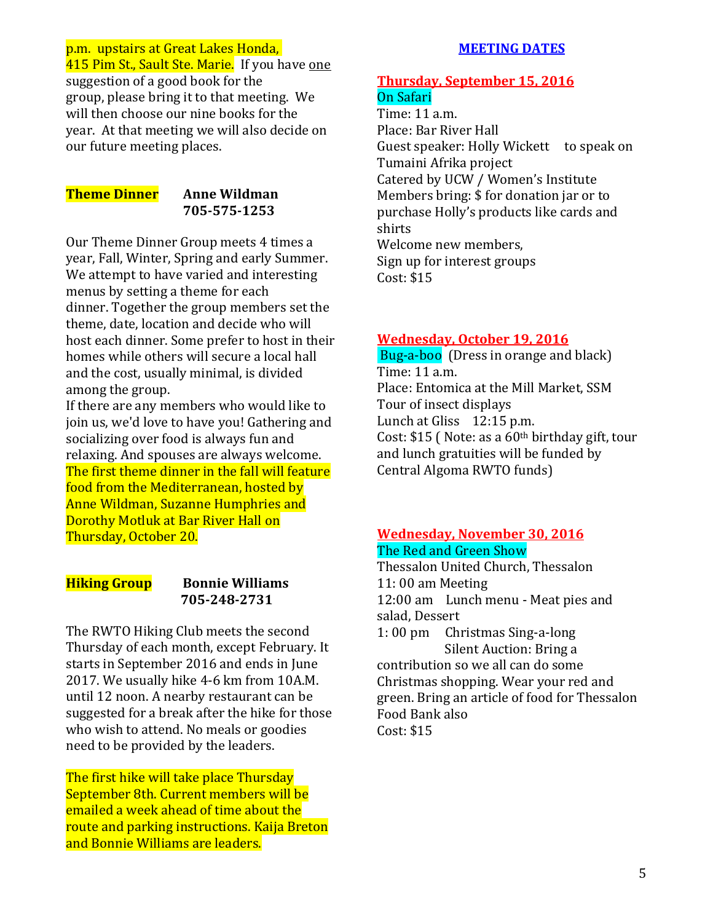#### p.m. upstairs at Great Lakes Honda,

415 Pim St., Sault Ste. Marie. If you have one suggestion of a good book for the group, please bring it to that meeting. We will then choose our nine books for the year. At that meeting we will also decide on our future meeting places.

## **Theme Dinner Anne Wildman**

# **705-575-1253**

Our Theme Dinner Group meets 4 times a year, Fall, Winter, Spring and early Summer. We attempt to have varied and interesting menus by setting a theme for each dinner. Together the group members set the theme, date, location and decide who will host each dinner. Some prefer to host in their homes while others will secure a local hall and the cost, usually minimal, is divided among the group.

If there are any members who would like to join us, we'd love to have you! Gathering and socializing over food is always fun and relaxing. And spouses are always welcome. The first theme dinner in the fall will feature food from the Mediterranean, hosted by Anne Wildman, Suzanne Humphries and Dorothy Motluk at Bar River Hall on Thursday, October 20.

#### **Hiking Group Bonnie Williams 705-248-2731**

The RWTO Hiking Club meets the second Thursday of each month, except February. It starts in September 2016 and ends in June 2017. We usually hike 4-6 km from 10A.M. until 12 noon. A nearby restaurant can be suggested for a break after the hike for those who wish to attend. No meals or goodies need to be provided by the leaders.

The first hike will take place Thursday September 8th. Current members will be emailed a week ahead of time about the route and parking instructions. Kaija Breton and Bonnie Williams are leaders.

#### **MEETING DATES**

### **Thursday, September 15, 2016** On Safari

Time: 11 a.m. Place: Bar River Hall Guest speaker: Holly Wickett to speak on Tumaini Afrika project Catered by UCW / Women's Institute Members bring: \$ for donation jar or to purchase Holly's products like cards and shirts Welcome new members, Sign up for interest groups Cost: \$15

#### **Wednesday, October 19, 2016**

Bug-a-boo (Dress in orange and black) Time: 11 a.m. Place: Entomica at the Mill Market, SSM Tour of insect displays Lunch at Gliss 12:15 p.m. Cost:  $$15$  (Note: as a  $60<sup>th</sup>$  birthday gift, tour and lunch gratuities will be funded by Central Algoma RWTO funds)

# **Wednesday, November 30, 2016** The Red and Green Show

Thessalon United Church, Thessalon 11: 00 am Meeting 12:00 am Lunch menu - Meat pies and salad, Dessert 1: 00 pm Christmas Sing-a-long Silent Auction: Bring a contribution so we all can do some Christmas shopping. Wear your red and green. Bring an article of food for Thessalon Food Bank also

Cost: \$15